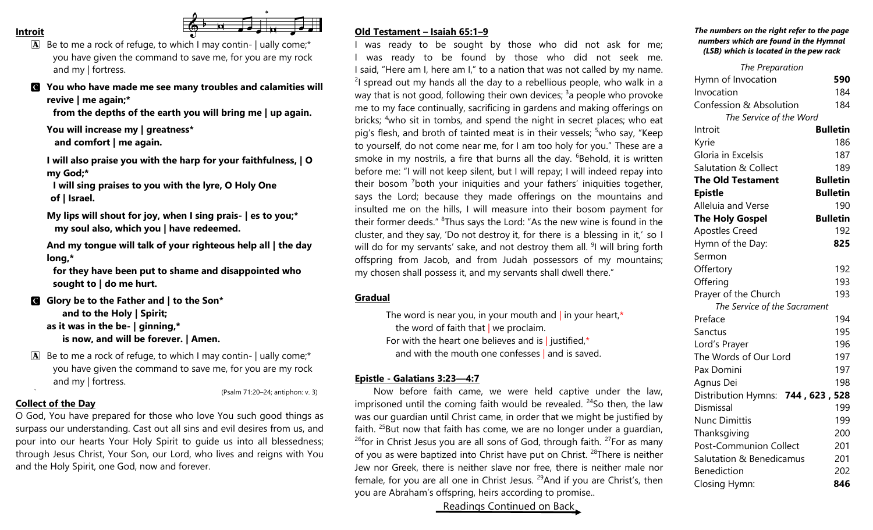#### **Introit**



 $\boxed{\mathbf{A}}$  Be to me a rock of refuge, to which I may contin- | ually come;\* you have given the command to save me, for you are my rock and my | fortress.

C **You who have made me see many troubles and calamities will revive | me again;\***

**from the depths of the earth you will bring me | up again.**

**You will increase my | greatness\* and comfort | me again.**

**I will also praise you with the harp for your faithfulness, | O my God;\***

**I will sing praises to you with the lyre, O Holy One of | Israel.**

**My lips will shout for joy, when I sing prais- | es to you;\* my soul also, which you | have redeemed.**

**And my tongue will talk of your righteous help all | the day long,\***

**for they have been put to shame and disappointed who sought to | do me hurt.**

- C **Glory be to the Father and | to the Son\* and to the Holy | Spirit; as it was in the be- | ginning,\* is now, and will be forever. | Amen.**
- $\boxed{\mathbf{A}}$  Be to me a rock of refuge, to which I may contin- | ually come;\* you have given the command to save me, for you are my rock and my | fortress.

` (Psalm 71:20–24; antiphon: v. 3)

## **Collect of the Day**

O God, You have prepared for those who love You such good things as surpass our understanding. Cast out all sins and evil desires from us, and pour into our hearts Your Holy Spirit to guide us into all blessedness; through Jesus Christ, Your Son, our Lord, who lives and reigns with You and the Holy Spirit, one God, now and forever.

# **Old Testament – Isaiah 65:1–9**

I was ready to be sought by those who did not ask for me; was ready to be found by those who did not seek me. I said, "Here am I, here am I," to a nation that was not called by my name.  $2$ I spread out my hands all the day to a rebellious people, who walk in a way that is not good, following their own devices; <sup>3</sup>a people who provoke me to my face continually, sacrificing in gardens and making offerings on bricks; <sup>4</sup>who sit in tombs, and spend the night in secret places; who eat pig's flesh, and broth of tainted meat is in their vessels; <sup>5</sup>who say, "Keep to yourself, do not come near me, for I am too holy for you." These are a smoke in my nostrils, a fire that burns all the day. <sup>6</sup>Behold, it is written before me: "I will not keep silent, but I will repay; I will indeed repay into their bosom <sup>7</sup>both your iniquities and your fathers' iniquities together, says the Lord; because they made offerings on the mountains and insulted me on the hills, I will measure into their bosom payment for their former deeds." <sup>8</sup>Thus says the Lord: "As the new wine is found in the cluster, and they say, 'Do not destroy it, for there is a blessing in it,' so I will do for my servants' sake, and not destroy them all. <sup>9</sup>l will bring forth offspring from Jacob, and from Judah possessors of my mountains; my chosen shall possess it, and my servants shall dwell there."

## **Gradual**

The word is near you, in your mouth and  $\int$  in your heart,\* the word of faith that  $\vert$  we proclaim. For with the heart one believes and is liustified,\* and with the mouth one confesses | and is saved.

## **Epistle - Galatians 3:23—4:7**

Now before faith came, we were held captive under the law, imprisoned until the coming faith would be revealed.  $24$ So then, the law was our guardian until Christ came, in order that we might be justified by faith.  $25$ But now that faith has come, we are no longer under a quardian,  $26$ for in Christ Jesus you are all sons of God, through faith.  $27$  For as many of you as were baptized into Christ have put on Christ. <sup>28</sup>There is neither Jew nor Greek, there is neither slave nor free, there is neither male nor female, for you are all one in Christ Jesus. <sup>29</sup>And if you are Christ's, then you are Abraham's offspring, heirs according to promise..

Readings Continued on Back

#### *The numbers on the right refer to the page numbers which are found in the Hymnal (LSB) which is located in the pew rack*

| The Preparation                    |                 |
|------------------------------------|-----------------|
| Hymn of Invocation                 | 590             |
| Invocation                         | 184             |
| <b>Confession &amp; Absolution</b> | 184             |
| The Service of the Word            |                 |
| Introit                            | <b>Bulletin</b> |
| Kyrie                              | 186             |
| Gloria in Excelsis                 | 187             |
| <b>Salutation &amp; Collect</b>    | 189             |
| <b>The Old Testament</b>           | <b>Bulletin</b> |
| <b>Epistle</b>                     | <b>Bulletin</b> |
| Alleluia and Verse                 | 190             |
| <b>The Holy Gospel</b>             | <b>Bulletin</b> |
| <b>Apostles Creed</b>              | 192             |
| Hymn of the Day:                   | 825             |
| Sermon                             |                 |
| Offertory                          | 192             |
| Offering                           | 193             |
| Prayer of the Church               | 193             |
| The Service of the Sacrament       |                 |
| Preface                            | 194             |
| Sanctus                            | 195             |
| Lord's Prayer                      | 196             |
| The Words of Our Lord              | 197             |
| Pax Domini                         | 197             |
| Agnus Dei                          | 198             |
| Distribution Hymns: 744, 623, 528  |                 |
| Dismissal                          | 199             |
| <b>Nunc Dimittis</b>               | 199             |
| Thanksgiving                       | 200             |
| Post-Communion Collect             | 201             |
| Salutation & Benedicamus           | 201             |
| <b>Benediction</b>                 | 202             |
| Closing Hymn:                      | 846             |